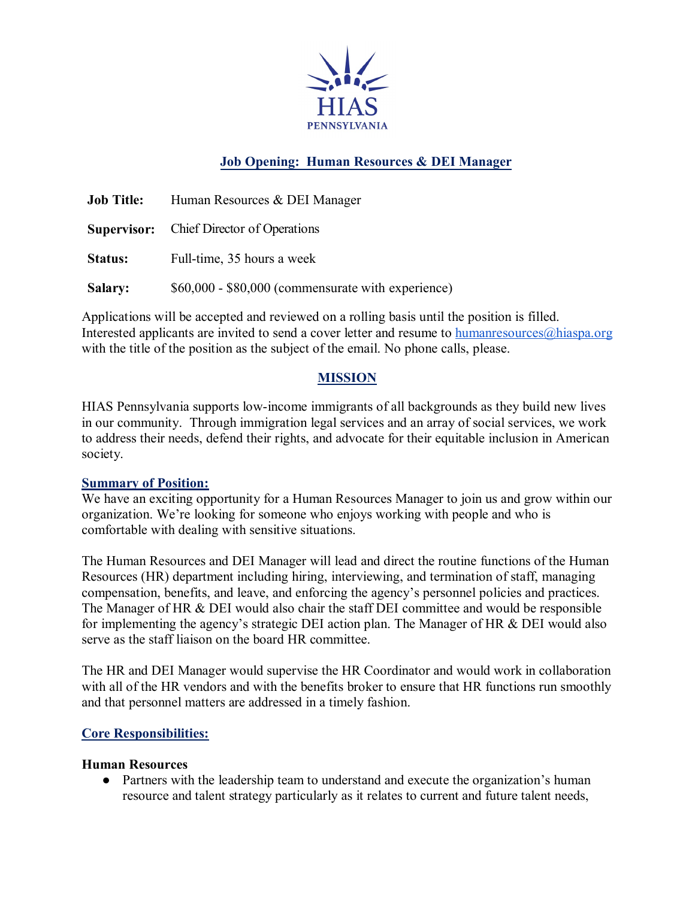

# **Job Opening: Human Resources & DEI Manager**

| <b>Job Title:</b> | Human Resources & DEI Manager                      |
|-------------------|----------------------------------------------------|
|                   | <b>Supervisor:</b> Chief Director of Operations    |
| <b>Status:</b>    | Full-time, 35 hours a week                         |
| <b>Salary:</b>    | \$60,000 - \$80,000 (commensurate with experience) |

Applications will be accepted and reviewed on a rolling basis until the position is filled. Interested applicants are invited to send a cover letter and resume to humanresources $\omega$ hiaspa.org with the title of the position as the subject of the email. No phone calls, please.

### **MISSION**

HIAS Pennsylvania supports low-income immigrants of all backgrounds as they build new lives in our community. Through immigration legal services and an array of social services, we work to address their needs, defend their rights, and advocate for their equitable inclusion in American society.

### **Summary of Position:**

We have an exciting opportunity for a Human Resources Manager to join us and grow within our organization. We're looking for someone who enjoys working with people and who is comfortable with dealing with sensitive situations.

The Human Resources and DEI Manager will lead and direct the routine functions of the Human Resources (HR) department including hiring, interviewing, and termination of staff, managing compensation, benefits, and leave, and enforcing the agency's personnel policies and practices. The Manager of HR & DEI would also chair the staff DEI committee and would be responsible for implementing the agency's strategic DEI action plan. The Manager of HR & DEI would also serve as the staff liaison on the board HR committee.

The HR and DEI Manager would supervise the HR Coordinator and would work in collaboration with all of the HR vendors and with the benefits broker to ensure that HR functions run smoothly and that personnel matters are addressed in a timely fashion.

### **Core Responsibilities:**

#### **Human Resources**

• Partners with the leadership team to understand and execute the organization's human resource and talent strategy particularly as it relates to current and future talent needs,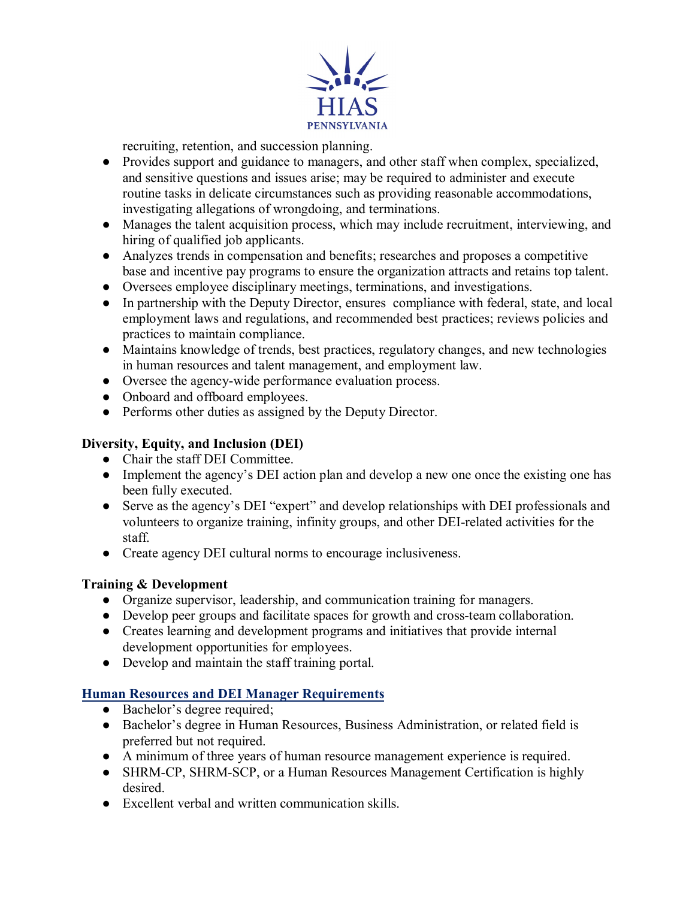

recruiting, retention, and succession planning.

- Provides support and guidance to managers, and other staff when complex, specialized, and sensitive questions and issues arise; may be required to administer and execute routine tasks in delicate circumstances such as providing reasonable accommodations, investigating allegations of wrongdoing, and terminations.
- Manages the talent acquisition process, which may include recruitment, interviewing, and hiring of qualified job applicants.
- Analyzes trends in compensation and benefits; researches and proposes a competitive base and incentive pay programs to ensure the organization attracts and retains top talent.
- Oversees employee disciplinary meetings, terminations, and investigations.
- In partnership with the Deputy Director, ensures compliance with federal, state, and local employment laws and regulations, and recommended best practices; reviews policies and practices to maintain compliance.
- Maintains knowledge of trends, best practices, regulatory changes, and new technologies in human resources and talent management, and employment law.
- Oversee the agency-wide performance evaluation process.
- Onboard and offboard employees.
- Performs other duties as assigned by the Deputy Director.

# **Diversity, Equity, and Inclusion (DEI)**

- Chair the staff DEI Committee.
- Implement the agency's DEI action plan and develop a new one once the existing one has been fully executed.
- Serve as the agency's DEI "expert" and develop relationships with DEI professionals and volunteers to organize training, infinity groups, and other DEI-related activities for the staff.
- Create agency DEI cultural norms to encourage inclusiveness.

### **Training & Development**

- Organize supervisor, leadership, and communication training for managers.
- Develop peer groups and facilitate spaces for growth and cross-team collaboration.
- Creates learning and development programs and initiatives that provide internal development opportunities for employees.
- Develop and maintain the staff training portal.

### **Human Resources and DEI Manager Requirements**

- Bachelor's degree required;
- Bachelor's degree in Human Resources, Business Administration, or related field is preferred but not required.
- A minimum of three years of human resource management experience is required.
- SHRM-CP, SHRM-SCP, or a Human Resources Management Certification is highly desired.
- Excellent verbal and written communication skills.